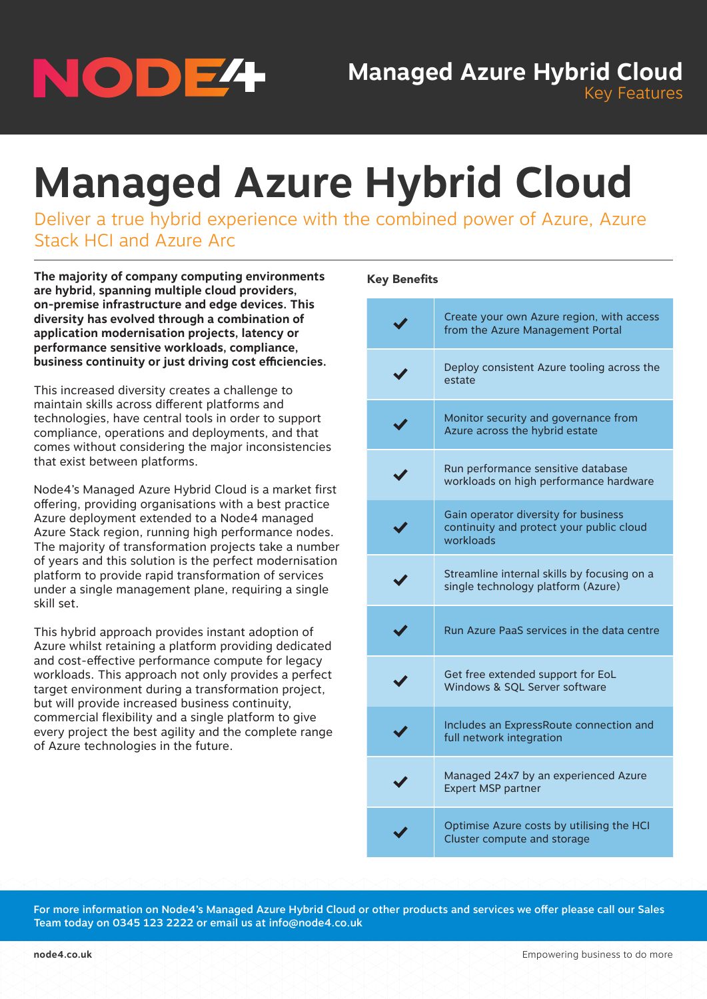

**Managed Azure Hybrid Cloud**

Deliver a true hybrid experience with the combined power of Azure, Azure Stack HCI and Azure Arc

**The majority of company computing environments are hybrid, spanning multiple cloud providers, on-premise infrastructure and edge devices. This diversity has evolved through a combination of application modernisation projects, latency or performance sensitive workloads, compliance, business continuity or just driving cost efficiencies.** 

This increased diversity creates a challenge to maintain skills across different platforms and technologies, have central tools in order to support compliance, operations and deployments, and that comes without considering the major inconsistencies that exist between platforms.

Node4's Managed Azure Hybrid Cloud is a market first offering, providing organisations with a best practice Azure deployment extended to a Node4 managed Azure Stack region, running high performance nodes. The majority of transformation projects take a number of years and this solution is the perfect modernisation platform to provide rapid transformation of services under a single management plane, requiring a single skill set.

This hybrid approach provides instant adoption of Azure whilst retaining a platform providing dedicated and cost-effective performance compute for legacy workloads. This approach not only provides a perfect target environment during a transformation project, but will provide increased business continuity, commercial flexibility and a single platform to give every project the best agility and the complete range of Azure technologies in the future.

## Key Benefits

| Create your own Azure region, with access<br>from the Azure Management Portal                 |
|-----------------------------------------------------------------------------------------------|
| Deploy consistent Azure tooling across the<br>estate                                          |
| Monitor security and governance from<br>Azure across the hybrid estate                        |
| Run performance sensitive database<br>workloads on high performance hardware                  |
| Gain operator diversity for business<br>continuity and protect your public cloud<br>workloads |
| Streamline internal skills by focusing on a<br>single technology platform (Azure)             |
| Run Azure PaaS services in the data centre                                                    |
| Get free extended support for EoL<br>Windows & SQL Server software                            |
| Includes an ExpressRoute connection and<br>full network integration                           |
| Managed 24x7 by an experienced Azure<br>Expert MSP partner                                    |
| Optimise Azure costs by utilising the HCI<br>Cluster compute and storage                      |

For more information on Node4's Managed Azure Hybrid Cloud or other products and services we offer please call our Sales Team today on 0345 123 2222 or email us at info@node4.co.uk